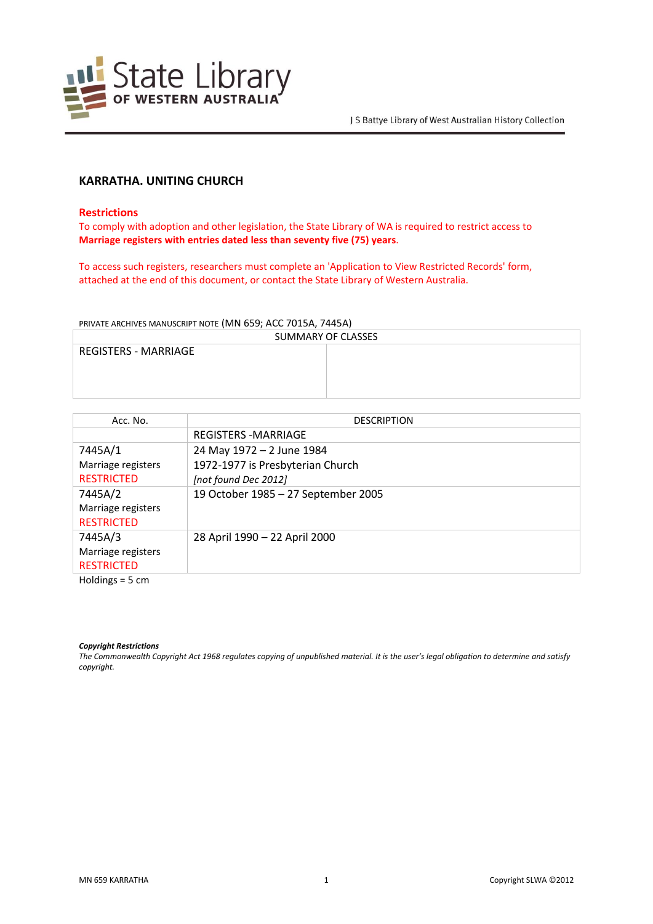

# **KARRATHA. UNITING CHURCH**

### **Restrictions**

To comply with adoption and other legislation, the State Library of WA is required to restrict access to **Marriage registers with entries dated less than seventy five (75) years**.

To access such registers, researchers must complete an 'Application to View Restricted Records' form, attached at the end of this document, or contact the State Library of Western Australia.

PRIVATE ARCHIVES MANUSCRIPT NOTE (MN 659; ACC 7015A, 7445A)

| SUMMARY OF CLASSES          |  |  |
|-----------------------------|--|--|
| <b>REGISTERS - MARRIAGE</b> |  |  |
|                             |  |  |
|                             |  |  |
|                             |  |  |

| Acc. No.           | <b>DESCRIPTION</b>                  |
|--------------------|-------------------------------------|
|                    | <b>REGISTERS -MARRIAGE</b>          |
| 7445A/1            | 24 May 1972 - 2 June 1984           |
| Marriage registers | 1972-1977 is Presbyterian Church    |
| <b>RESTRICTED</b>  | [not found Dec 2012]                |
| 7445A/2            | 19 October 1985 - 27 September 2005 |
| Marriage registers |                                     |
| <b>RESTRICTED</b>  |                                     |
| 7445A/3            | 28 April 1990 - 22 April 2000       |
| Marriage registers |                                     |
| <b>RESTRICTED</b>  |                                     |

Holdings = 5 cm

#### *Copyright Restrictions*

*The Commonwealth Copyright Act 1968 regulates copying of unpublished material. It is the user's legal obligation to determine and satisfy copyright.*